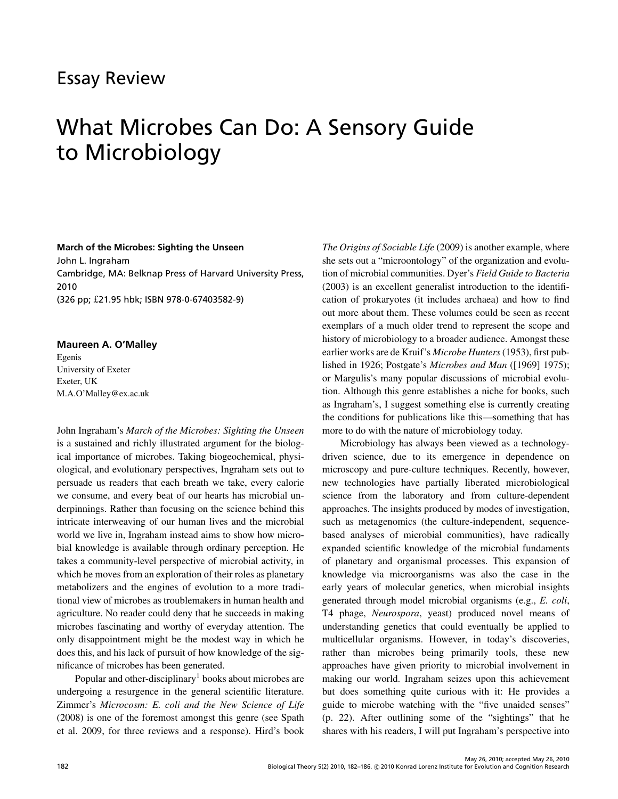# Essay Review

# What Microbes Can Do: A Sensory Guide to Microbiology

**March of the Microbes: Sighting the Unseen**

John L. Ingraham Cambridge, MA: Belknap Press of Harvard University Press, 2010 (326 pp; £21.95 hbk; ISBN 978-0-67403582-9)

# **Maureen A. O'Malley**

Egenis University of Exeter Exeter, UK M.A.O'Malley@ex.ac.uk

John Ingraham's *March of the Microbes: Sighting the Unseen* is a sustained and richly illustrated argument for the biological importance of microbes. Taking biogeochemical, physiological, and evolutionary perspectives, Ingraham sets out to persuade us readers that each breath we take, every calorie we consume, and every beat of our hearts has microbial underpinnings. Rather than focusing on the science behind this intricate interweaving of our human lives and the microbial world we live in, Ingraham instead aims to show how microbial knowledge is available through ordinary perception. He takes a community-level perspective of microbial activity, in which he moves from an exploration of their roles as planetary metabolizers and the engines of evolution to a more traditional view of microbes as troublemakers in human health and agriculture. No reader could deny that he succeeds in making microbes fascinating and worthy of everyday attention. The only disappointment might be the modest way in which he does this, and his lack of pursuit of how knowledge of the significance of microbes has been generated.

Popular and other-disciplinary<sup>1</sup> books about microbes are undergoing a resurgence in the general scientific literature. Zimmer's *Microcosm: E. coli and the New Science of Life* (2008) is one of the foremost amongst this genre (see Spath et al. 2009, for three reviews and a response). Hird's book

*The Origins of Sociable Life* (2009) is another example, where she sets out a "microontology" of the organization and evolution of microbial communities. Dyer's *Field Guide to Bacteria* (2003) is an excellent generalist introduction to the identification of prokaryotes (it includes archaea) and how to find out more about them. These volumes could be seen as recent exemplars of a much older trend to represent the scope and history of microbiology to a broader audience. Amongst these earlier works are de Kruif's *Microbe Hunters*(1953), first published in 1926; Postgate's *Microbes and Man* ([1969] 1975); or Margulis's many popular discussions of microbial evolution. Although this genre establishes a niche for books, such as Ingraham's, I suggest something else is currently creating the conditions for publications like this—something that has more to do with the nature of microbiology today.

Microbiology has always been viewed as a technologydriven science, due to its emergence in dependence on microscopy and pure-culture techniques. Recently, however, new technologies have partially liberated microbiological science from the laboratory and from culture-dependent approaches. The insights produced by modes of investigation, such as metagenomics (the culture-independent, sequencebased analyses of microbial communities), have radically expanded scientific knowledge of the microbial fundaments of planetary and organismal processes. This expansion of knowledge via microorganisms was also the case in the early years of molecular genetics, when microbial insights generated through model microbial organisms (e.g., *E. coli*, T4 phage, *Neurospora*, yeast) produced novel means of understanding genetics that could eventually be applied to multicellular organisms. However, in today's discoveries, rather than microbes being primarily tools, these new approaches have given priority to microbial involvement in making our world. Ingraham seizes upon this achievement but does something quite curious with it: He provides a guide to microbe watching with the "five unaided senses" (p. 22). After outlining some of the "sightings" that he shares with his readers, I will put Ingraham's perspective into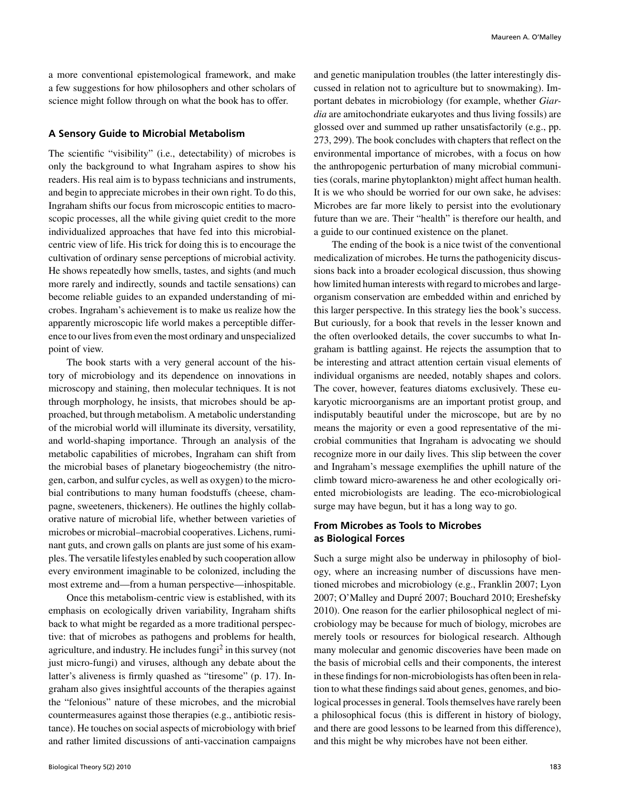a more conventional epistemological framework, and make a few suggestions for how philosophers and other scholars of science might follow through on what the book has to offer.

## **A Sensory Guide to Microbial Metabolism**

The scientific "visibility" (i.e., detectability) of microbes is only the background to what Ingraham aspires to show his readers. His real aim is to bypass technicians and instruments, and begin to appreciate microbes in their own right. To do this, Ingraham shifts our focus from microscopic entities to macroscopic processes, all the while giving quiet credit to the more individualized approaches that have fed into this microbialcentric view of life. His trick for doing this is to encourage the cultivation of ordinary sense perceptions of microbial activity. He shows repeatedly how smells, tastes, and sights (and much more rarely and indirectly, sounds and tactile sensations) can become reliable guides to an expanded understanding of microbes. Ingraham's achievement is to make us realize how the apparently microscopic life world makes a perceptible difference to our lives from even the most ordinary and unspecialized point of view.

The book starts with a very general account of the history of microbiology and its dependence on innovations in microscopy and staining, then molecular techniques. It is not through morphology, he insists, that microbes should be approached, but through metabolism. A metabolic understanding of the microbial world will illuminate its diversity, versatility, and world-shaping importance. Through an analysis of the metabolic capabilities of microbes, Ingraham can shift from the microbial bases of planetary biogeochemistry (the nitrogen, carbon, and sulfur cycles, as well as oxygen) to the microbial contributions to many human foodstuffs (cheese, champagne, sweeteners, thickeners). He outlines the highly collaborative nature of microbial life, whether between varieties of microbes or microbial–macrobial cooperatives. Lichens, ruminant guts, and crown galls on plants are just some of his examples. The versatile lifestyles enabled by such cooperation allow every environment imaginable to be colonized, including the most extreme and—from a human perspective—inhospitable.

Once this metabolism-centric view is established, with its emphasis on ecologically driven variability, Ingraham shifts back to what might be regarded as a more traditional perspective: that of microbes as pathogens and problems for health, agriculture, and industry. He includes fungi<sup>2</sup> in this survey (not just micro-fungi) and viruses, although any debate about the latter's aliveness is firmly quashed as "tiresome" (p. 17). Ingraham also gives insightful accounts of the therapies against the "felonious" nature of these microbes, and the microbial countermeasures against those therapies (e.g., antibiotic resistance). He touches on social aspects of microbiology with brief and rather limited discussions of anti-vaccination campaigns and genetic manipulation troubles (the latter interestingly discussed in relation not to agriculture but to snowmaking). Important debates in microbiology (for example, whether *Giardia* are amitochondriate eukaryotes and thus living fossils) are glossed over and summed up rather unsatisfactorily (e.g., pp. 273, 299). The book concludes with chapters that reflect on the environmental importance of microbes, with a focus on how the anthropogenic perturbation of many microbial communities (corals, marine phytoplankton) might affect human health. It is we who should be worried for our own sake, he advises: Microbes are far more likely to persist into the evolutionary future than we are. Their "health" is therefore our health, and a guide to our continued existence on the planet.

The ending of the book is a nice twist of the conventional medicalization of microbes. He turns the pathogenicity discussions back into a broader ecological discussion, thus showing how limited human interests with regard to microbes and largeorganism conservation are embedded within and enriched by this larger perspective. In this strategy lies the book's success. But curiously, for a book that revels in the lesser known and the often overlooked details, the cover succumbs to what Ingraham is battling against. He rejects the assumption that to be interesting and attract attention certain visual elements of individual organisms are needed, notably shapes and colors. The cover, however, features diatoms exclusively. These eukaryotic microorganisms are an important protist group, and indisputably beautiful under the microscope, but are by no means the majority or even a good representative of the microbial communities that Ingraham is advocating we should recognize more in our daily lives. This slip between the cover and Ingraham's message exemplifies the uphill nature of the climb toward micro-awareness he and other ecologically oriented microbiologists are leading. The eco-microbiological surge may have begun, but it has a long way to go.

# **From Microbes as Tools to Microbes as Biological Forces**

Such a surge might also be underway in philosophy of biology, where an increasing number of discussions have mentioned microbes and microbiology (e.g., Franklin 2007; Lyon 2007; O'Malley and Dupré 2007; Bouchard 2010; Ereshefsky 2010). One reason for the earlier philosophical neglect of microbiology may be because for much of biology, microbes are merely tools or resources for biological research. Although many molecular and genomic discoveries have been made on the basis of microbial cells and their components, the interest in these findings for non-microbiologists has often been in relation to what these findings said about genes, genomes, and biological processes in general. Tools themselves have rarely been a philosophical focus (this is different in history of biology, and there are good lessons to be learned from this difference), and this might be why microbes have not been either.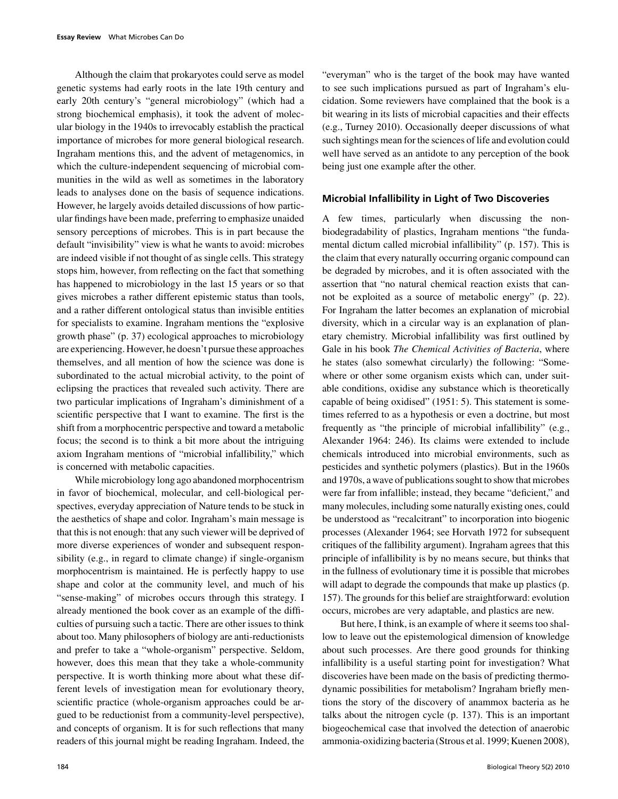Although the claim that prokaryotes could serve as model genetic systems had early roots in the late 19th century and early 20th century's "general microbiology" (which had a strong biochemical emphasis), it took the advent of molecular biology in the 1940s to irrevocably establish the practical importance of microbes for more general biological research. Ingraham mentions this, and the advent of metagenomics, in which the culture-independent sequencing of microbial communities in the wild as well as sometimes in the laboratory leads to analyses done on the basis of sequence indications. However, he largely avoids detailed discussions of how particular findings have been made, preferring to emphasize unaided sensory perceptions of microbes. This is in part because the default "invisibility" view is what he wants to avoid: microbes are indeed visible if not thought of as single cells. This strategy stops him, however, from reflecting on the fact that something has happened to microbiology in the last 15 years or so that gives microbes a rather different epistemic status than tools, and a rather different ontological status than invisible entities for specialists to examine. Ingraham mentions the "explosive growth phase" (p. 37) ecological approaches to microbiology are experiencing. However, he doesn't pursue these approaches themselves, and all mention of how the science was done is subordinated to the actual microbial activity, to the point of eclipsing the practices that revealed such activity. There are two particular implications of Ingraham's diminishment of a scientific perspective that I want to examine. The first is the shift from a morphocentric perspective and toward a metabolic focus; the second is to think a bit more about the intriguing axiom Ingraham mentions of "microbial infallibility," which is concerned with metabolic capacities.

While microbiology long ago abandoned morphocentrism in favor of biochemical, molecular, and cell-biological perspectives, everyday appreciation of Nature tends to be stuck in the aesthetics of shape and color. Ingraham's main message is that this is not enough: that any such viewer will be deprived of more diverse experiences of wonder and subsequent responsibility (e.g., in regard to climate change) if single-organism morphocentrism is maintained. He is perfectly happy to use shape and color at the community level, and much of his "sense-making" of microbes occurs through this strategy. I already mentioned the book cover as an example of the difficulties of pursuing such a tactic. There are other issues to think about too. Many philosophers of biology are anti-reductionists and prefer to take a "whole-organism" perspective. Seldom, however, does this mean that they take a whole-community perspective. It is worth thinking more about what these different levels of investigation mean for evolutionary theory, scientific practice (whole-organism approaches could be argued to be reductionist from a community-level perspective), and concepts of organism. It is for such reflections that many readers of this journal might be reading Ingraham. Indeed, the "everyman" who is the target of the book may have wanted to see such implications pursued as part of Ingraham's elucidation. Some reviewers have complained that the book is a bit wearing in its lists of microbial capacities and their effects (e.g., Turney 2010). Occasionally deeper discussions of what such sightings mean for the sciences of life and evolution could well have served as an antidote to any perception of the book being just one example after the other.

### **Microbial Infallibility in Light of Two Discoveries**

A few times, particularly when discussing the nonbiodegradability of plastics, Ingraham mentions "the fundamental dictum called microbial infallibility" (p. 157). This is the claim that every naturally occurring organic compound can be degraded by microbes, and it is often associated with the assertion that "no natural chemical reaction exists that cannot be exploited as a source of metabolic energy" (p. 22). For Ingraham the latter becomes an explanation of microbial diversity, which in a circular way is an explanation of planetary chemistry. Microbial infallibility was first outlined by Gale in his book *The Chemical Activities of Bacteria*, where he states (also somewhat circularly) the following: "Somewhere or other some organism exists which can, under suitable conditions, oxidise any substance which is theoretically capable of being oxidised" (1951: 5). This statement is sometimes referred to as a hypothesis or even a doctrine, but most frequently as "the principle of microbial infallibility" (e.g., Alexander 1964: 246). Its claims were extended to include chemicals introduced into microbial environments, such as pesticides and synthetic polymers (plastics). But in the 1960s and 1970s, a wave of publications sought to show that microbes were far from infallible; instead, they became "deficient," and many molecules, including some naturally existing ones, could be understood as "recalcitrant" to incorporation into biogenic processes (Alexander 1964; see Horvath 1972 for subsequent critiques of the fallibility argument). Ingraham agrees that this principle of infallibility is by no means secure, but thinks that in the fullness of evolutionary time it is possible that microbes will adapt to degrade the compounds that make up plastics (p. 157). The grounds for this belief are straightforward: evolution occurs, microbes are very adaptable, and plastics are new.

But here, I think, is an example of where it seems too shallow to leave out the epistemological dimension of knowledge about such processes. Are there good grounds for thinking infallibility is a useful starting point for investigation? What discoveries have been made on the basis of predicting thermodynamic possibilities for metabolism? Ingraham briefly mentions the story of the discovery of anammox bacteria as he talks about the nitrogen cycle (p. 137). This is an important biogeochemical case that involved the detection of anaerobic ammonia-oxidizing bacteria (Strous et al. 1999; Kuenen 2008),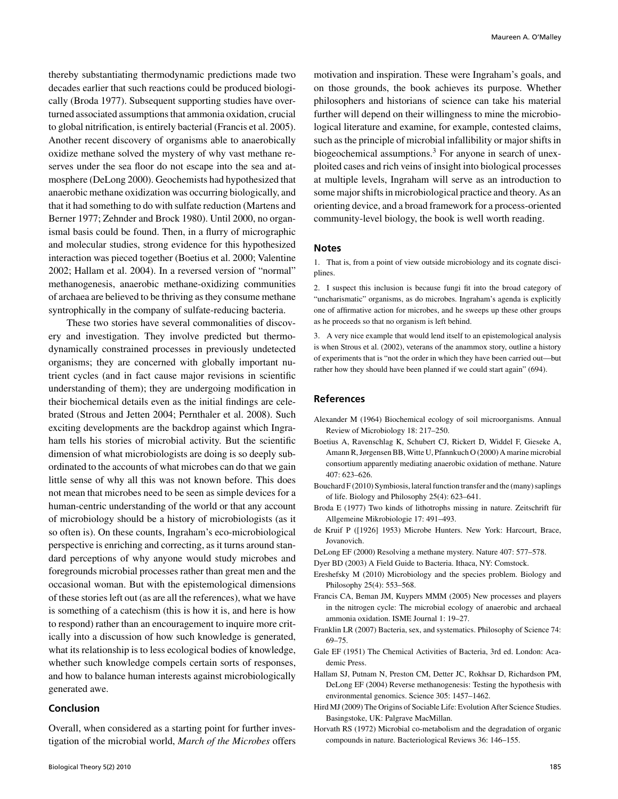thereby substantiating thermodynamic predictions made two decades earlier that such reactions could be produced biologically (Broda 1977). Subsequent supporting studies have overturned associated assumptions that ammonia oxidation, crucial to global nitrification, is entirely bacterial (Francis et al. 2005). Another recent discovery of organisms able to anaerobically oxidize methane solved the mystery of why vast methane reserves under the sea floor do not escape into the sea and atmosphere (DeLong 2000). Geochemists had hypothesized that anaerobic methane oxidization was occurring biologically, and that it had something to do with sulfate reduction (Martens and Berner 1977; Zehnder and Brock 1980). Until 2000, no organismal basis could be found. Then, in a flurry of micrographic and molecular studies, strong evidence for this hypothesized interaction was pieced together (Boetius et al. 2000; Valentine 2002; Hallam et al. 2004). In a reversed version of "normal" methanogenesis, anaerobic methane-oxidizing communities of archaea are believed to be thriving as they consume methane syntrophically in the company of sulfate-reducing bacteria.

These two stories have several commonalities of discovery and investigation. They involve predicted but thermodynamically constrained processes in previously undetected organisms; they are concerned with globally important nutrient cycles (and in fact cause major revisions in scientific understanding of them); they are undergoing modification in their biochemical details even as the initial findings are celebrated (Strous and Jetten 2004; Pernthaler et al. 2008). Such exciting developments are the backdrop against which Ingraham tells his stories of microbial activity. But the scientific dimension of what microbiologists are doing is so deeply subordinated to the accounts of what microbes can do that we gain little sense of why all this was not known before. This does not mean that microbes need to be seen as simple devices for a human-centric understanding of the world or that any account of microbiology should be a history of microbiologists (as it so often is). On these counts, Ingraham's eco-microbiological perspective is enriching and correcting, as it turns around standard perceptions of why anyone would study microbes and foregrounds microbial processes rather than great men and the occasional woman. But with the epistemological dimensions of these stories left out (as are all the references), what we have is something of a catechism (this is how it is, and here is how to respond) rather than an encouragement to inquire more critically into a discussion of how such knowledge is generated, what its relationship is to less ecological bodies of knowledge, whether such knowledge compels certain sorts of responses, and how to balance human interests against microbiologically generated awe.

#### **Conclusion**

Overall, when considered as a starting point for further investigation of the microbial world, *March of the Microbes* offers

motivation and inspiration. These were Ingraham's goals, and on those grounds, the book achieves its purpose. Whether philosophers and historians of science can take his material further will depend on their willingness to mine the microbiological literature and examine, for example, contested claims, such as the principle of microbial infallibility or major shifts in biogeochemical assumptions.<sup>3</sup> For anyone in search of unexploited cases and rich veins of insight into biological processes at multiple levels, Ingraham will serve as an introduction to some major shifts in microbiological practice and theory. As an orienting device, and a broad framework for a process-oriented community-level biology, the book is well worth reading.

#### **Notes**

1. That is, from a point of view outside microbiology and its cognate disciplines.

2. I suspect this inclusion is because fungi fit into the broad category of "uncharismatic" organisms, as do microbes. Ingraham's agenda is explicitly one of affirmative action for microbes, and he sweeps up these other groups as he proceeds so that no organism is left behind.

3. A very nice example that would lend itself to an epistemological analysis is when Strous et al. (2002), veterans of the anammox story, outline a history of experiments that is "not the order in which they have been carried out—but rather how they should have been planned if we could start again" (694).

#### **References**

- Alexander M (1964) Biochemical ecology of soil microorganisms. Annual Review of Microbiology 18: 217–250.
- Boetius A, Ravenschlag K, Schubert CJ, Rickert D, Widdel F, Gieseke A, Amann R, Jørgensen BB, Witte U, Pfannkuch O (2000) A marine microbial consortium apparently mediating anaerobic oxidation of methane. Nature 407: 623–626.
- Bouchard F (2010) Symbiosis, lateral function transfer and the (many) saplings of life. Biology and Philosophy 25(4): 623–641.
- Broda E (1977) Two kinds of lithotrophs missing in nature. Zeitschrift für Allgemeine Mikrobiologie 17: 491–493.
- de Kruif P ([1926] 1953) Microbe Hunters. New York: Harcourt, Brace, Jovanovich.
- DeLong EF (2000) Resolving a methane mystery. Nature 407: 577–578.
- Dyer BD (2003) A Field Guide to Bacteria. Ithaca, NY: Comstock.
- Ereshefsky M (2010) Microbiology and the species problem. Biology and Philosophy 25(4): 553–568.
- Francis CA, Beman JM, Kuypers MMM (2005) New processes and players in the nitrogen cycle: The microbial ecology of anaerobic and archaeal ammonia oxidation. ISME Journal 1: 19–27.
- Franklin LR (2007) Bacteria, sex, and systematics. Philosophy of Science 74: 69–75.
- Gale EF (1951) The Chemical Activities of Bacteria, 3rd ed. London: Academic Press.
- Hallam SJ, Putnam N, Preston CM, Detter JC, Rokhsar D, Richardson PM, DeLong EF (2004) Reverse methanogenesis: Testing the hypothesis with environmental genomics. Science 305: 1457–1462.
- Hird MJ (2009) The Origins of Sociable Life: Evolution After Science Studies. Basingstoke, UK: Palgrave MacMillan.
- Horvath RS (1972) Microbial co-metabolism and the degradation of organic compounds in nature. Bacteriological Reviews 36: 146–155.